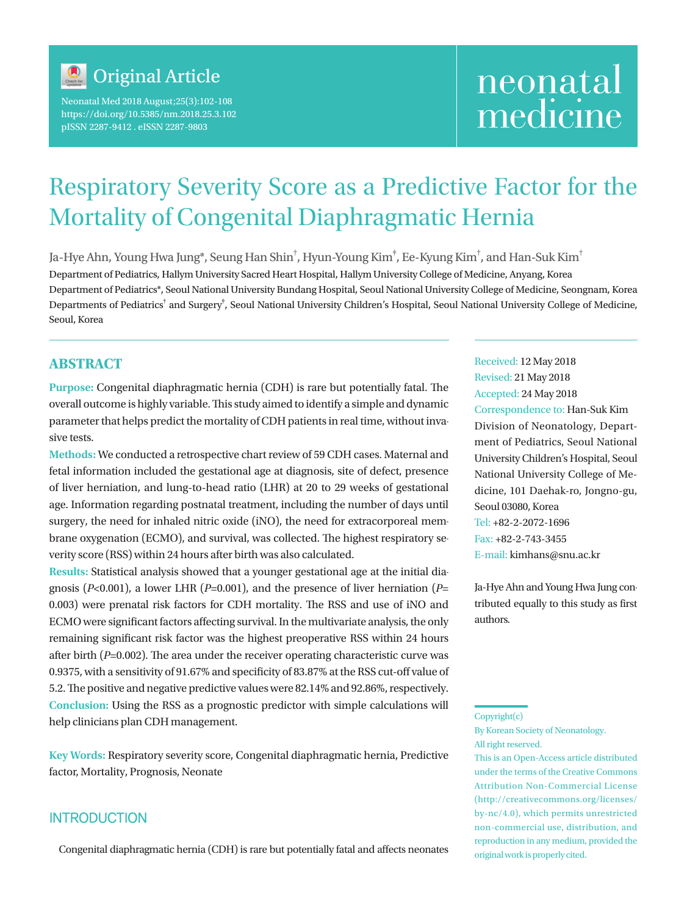

Neonatal Med 2018 August;25(3):102-108 https://doi.org/10.5385/nm.2018.25.3.102 pISSN 2287-9412 . eISSN 2287-9803

# neonatal medicine

## Respiratory Severity Score as a Predictive Factor for the Mortality of Congenital Diaphragmatic Hernia

Ja-Hye Ahn, Young Hwa Jung\*, Seung Han Shin $^\dagger$ , Hyun-Young Kim $^\dagger$ , Ee-Kyung Kim $^\dagger$ , and Han-Suk Kim $^\dagger$ Department of Pediatrics, Hallym University Sacred Heart Hospital, Hallym University College of Medicine, Anyang, Korea Department of Pediatrics\*, Seoul National University Bundang Hospital, Seoul National University College of Medicine, Seongnam, Korea Departments of Pediatrics<sup>†</sup> and Surgery<sup>‡</sup>, Seoul National University Children's Hospital, Seoul National University College of Medicine, Seoul, Korea

## **ABSTRACT**

**Purpose:** Congenital diaphragmatic hernia (CDH) is rare but potentially fatal. The overall outcome is highly variable. This study aimed to identify a simple and dynamic parameter that helps predict the mortality of CDH patients in real time, without invasive tests.

**Methods:** We conducted a retrospective chart review of 59 CDH cases. Maternal and fetal information included the gestational age at diagnosis, site of defect, presence of liver herniation, and lung-to-head ratio (LHR) at 20 to 29 weeks of gestational age. Information regarding postnatal treatment, including the number of days until surgery, the need for inhaled nitric oxide (iNO), the need for extracorporeal membrane oxygenation (ECMO), and survival, was collected. The highest respiratory severity score (RSS) within 24 hours after birth was also calculated.

**Results:** Statistical analysis showed that a younger gestational age at the initial diagnosis ( $P<sub>0</sub>$ -0.001), a lower LHR ( $P=0.001$ ), and the presence of liver herniation ( $P=$ 0.003) were prenatal risk factors for CDH mortality. The RSS and use of iNO and ECMO were significant factors affecting survival. In the multivariate analysis, the only remaining significant risk factor was the highest preoperative RSS within 24 hours after birth (*P*=0.002). The area under the receiver operating characteristic curve was 0.9375, with a sensitivity of 91.67% and specificity of 83.87% at the RSS cut-off value of 5.2. The positive and negative predictive values were 82.14% and 92.86%, respectively. **Conclusion:** Using the RSS as a prognostic predictor with simple calculations will help clinicians plan CDH management.

**Key Words:** Respiratory severity score, Congenital diaphragmatic hernia, Predictive factor, Mortality, Prognosis, Neonate

## **INTRODUCTION**

Congenital diaphragmatic hernia (CDH) is rare but potentially fatal and affects neonates

Received: 12 May 2018 Revised: 21 May 2018 Accepted: 24 May 2018 Correspondence to: Han-Suk Kim Division of Neonatology, Department of Pediatrics, Seoul National University Children's Hospital, Seoul National University College of Medicine, 101 Daehak-ro, Jongno-gu, Seoul 03080, Korea Tel: +82-2-2072-1696 Fax: +82-2-743-3455 E-mail: kimhans@snu.ac.kr

Ja-Hye Ahn and Young Hwa Jung contributed equally to this study as first authors.

#### Copyright(c)

By Korean Society of Neonatology. All right reserved.

This is an Open-Access article distributed under the terms of the Creative Commons Attribution Non-Commercial License (http://creativecommons.org/licenses/ by-nc/4.0), which permits unrestricted non-commercial use, distribution, and reproduction in any medium, provided the original work is properly cited.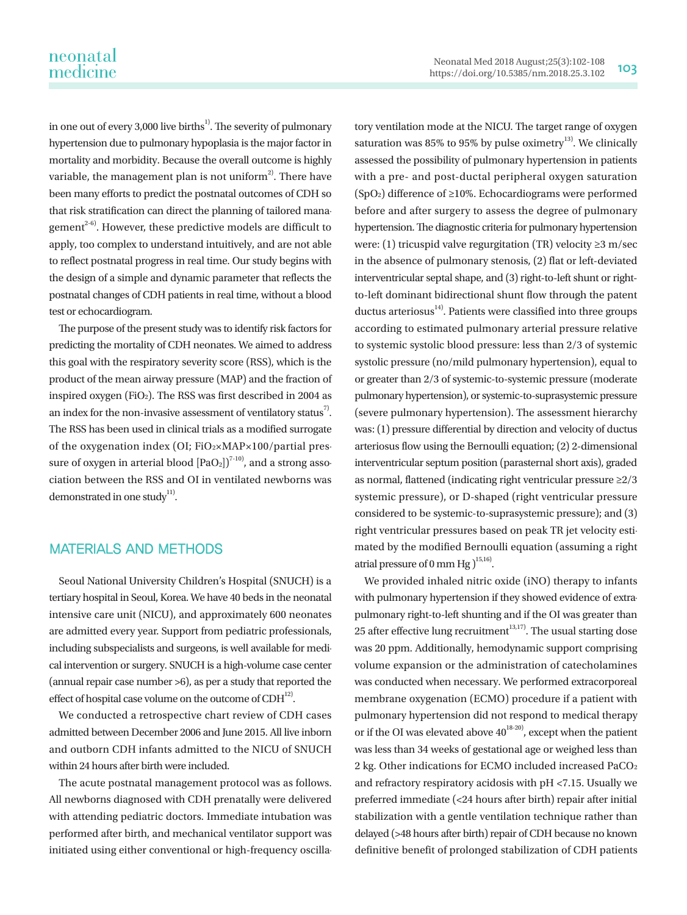in one out of every 3,000 live births<sup>1)</sup>. The severity of pulmonary hypertension due to pulmonary hypoplasia is the major factor in mortality and morbidity. Because the overall outcome is highly variable, the management plan is not uniform<sup>2</sup>. There have been many efforts to predict the postnatal outcomes of CDH so that risk stratification can direct the planning of tailored management<sup> $2-6$ </sup>. However, these predictive models are difficult to apply, too complex to understand intuitively, and are not able to reflect postnatal progress in real time. Our study begins with the design of a simple and dynamic parameter that reflects the postnatal changes of CDH patients in real time, without a blood test or echocardiogram.

The purpose of the present study was to identify risk factors for predicting the mortality of CDH neonates. We aimed to address this goal with the respiratory severity score (RSS), which is the product of the mean airway pressure (MAP) and the fraction of inspired oxygen (FiO2). The RSS was first described in 2004 as an index for the non-invasive assessment of ventilatory status<sup>7</sup>. The RSS has been used in clinical trials as a modified surrogate of the oxygenation index (OI; FiO2×MAP×100/partial pressure of oxygen in arterial blood  $[PaO_2]$ <sup> $(7-10)$ </sup>, and a strong association between the RSS and OI in ventilated newborns was demonstrated in one study<sup>11)</sup>.

## MATERIALS AND METHODS

Seoul National University Children's Hospital (SNUCH) is a tertiary hospital in Seoul, Korea. We have 40 beds in the neonatal intensive care unit (NICU), and approximately 600 neonates are admitted every year. Support from pediatric professionals, including subspecialists and surgeons, is well available for medical intervention or surgery. SNUCH is a high-volume case center (annual repair case number >6), as per a study that reported the effect of hospital case volume on the outcome of  $CDH<sup>12</sup>$ .

We conducted a retrospective chart review of CDH cases admitted between December 2006 and June 2015. All live inborn and outborn CDH infants admitted to the NICU of SNUCH within 24 hours after birth were included.

The acute postnatal management protocol was as follows. All newborns diagnosed with CDH prenatally were delivered with attending pediatric doctors. Immediate intubation was performed after birth, and mechanical ventilator support was initiated using either conventional or high-frequency oscillatory ventilation mode at the NICU. The target range of oxygen saturation was 85% to 95% by pulse oximetry<sup>13)</sup>. We clinically assessed the possibility of pulmonary hypertension in patients with a pre- and post-ductal peripheral oxygen saturation (SpO2) difference of ≥10%. Echocardiograms were performed before and after surgery to assess the degree of pulmonary hypertension. The diagnostic criteria for pulmonary hypertension were: (1) tricuspid valve regurgitation (TR) velocity ≥3 m/sec in the absence of pulmonary stenosis, (2) flat or left-deviated interventricular septal shape, and (3) right-to-left shunt or rightto-left dominant bidirectional shunt flow through the patent ductus arteriosus $^{14}$ . Patients were classified into three groups according to estimated pulmonary arterial pressure relative to systemic systolic blood pressure: less than 2/3 of systemic systolic pressure (no/mild pulmonary hypertension), equal to or greater than 2/3 of systemic-to-systemic pressure (moderate pulmonary hypertension), or systemic-to-suprasystemic pressure (severe pulmonary hypertension). The assessment hierarchy was: (1) pressure differential by direction and velocity of ductus arteriosus flow using the Bernoulli equation; (2) 2-dimensional interventricular septum position (parasternal short axis), graded as normal, flattened (indicating right ventricular pressure ≥2/3 systemic pressure), or D-shaped (right ventricular pressure considered to be systemic-to-suprasystemic pressure); and (3) right ventricular pressures based on peak TR jet velocity estimated by the modified Bernoulli equation (assuming a right atrial pressure of 0 mm Hg  $)^{15,16}$ .

We provided inhaled nitric oxide (iNO) therapy to infants with pulmonary hypertension if they showed evidence of extrapulmonary right-to-left shunting and if the OI was greater than 25 after effective lung recruitment<sup>13,17)</sup>. The usual starting dose was 20 ppm. Additionally, hemodynamic support comprising volume expansion or the administration of catecholamines was conducted when necessary. We performed extracorporeal membrane oxygenation (ECMO) procedure if a patient with pulmonary hypertension did not respond to medical therapy or if the OI was elevated above  $40^{18-20}$ , except when the patient was less than 34 weeks of gestational age or weighed less than 2 kg. Other indications for ECMO included increased PaCO2 and refractory respiratory acidosis with pH <7.15. Usually we preferred immediate (<24 hours after birth) repair after initial stabilization with a gentle ventilation technique rather than delayed (>48 hours after birth) repair of CDH because no known definitive benefit of prolonged stabilization of CDH patients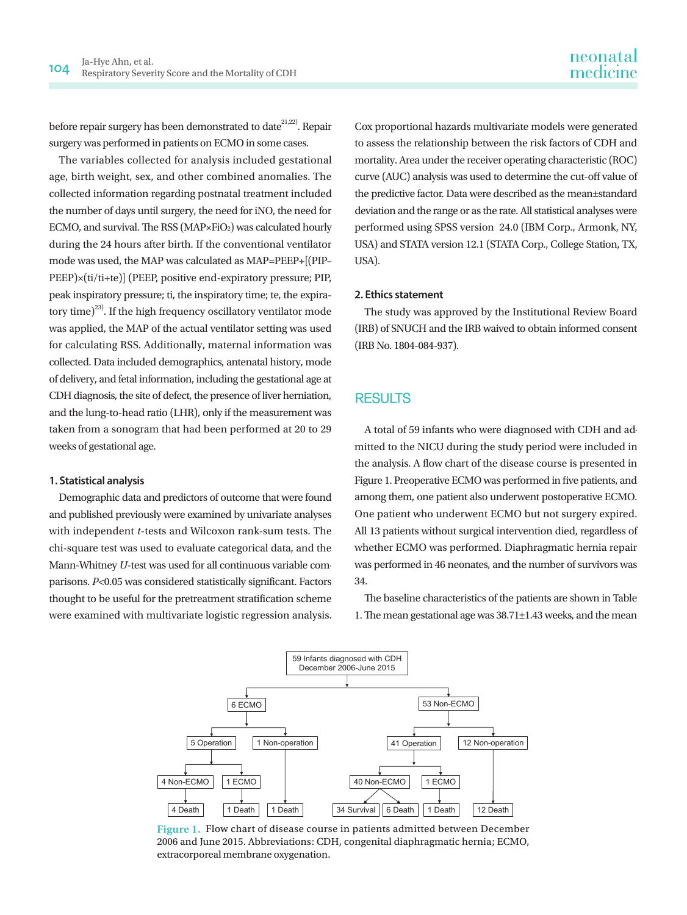before repair surgery has been demonstrated to date<sup>21,22)</sup>. Repair surgery was performed in patients on ECMO in some cases.

The variables collected for analysis included gestational age, birth weight, sex, and other combined anomalies. The collected information regarding postnatal treatment included the number of days until surgery, the need for iNO, the need for ECMO, and survival. The RSS (MAP×FiO<sub>2</sub>) was calculated hourly during the 24 hours after birth. If the conventional ventilator mode was used, the MAP was calculated as MAP=PEEP+[(PIP– PEEP)×(ti/ti+te)] (PEEP, positive end-expiratory pressure; PIP, peak inspiratory pressure; ti, the inspiratory time; te, the expiratory time)<sup>23)</sup>. If the high frequency oscillatory ventilator mode was applied, the MAP of the actual ventilator setting was used for calculating RSS. Additionally, maternal information was collected. Data included demographics, antenatal history, mode of delivery, and fetal information, including the gestational age at CDH diagnosis, the site of defect, the presence of liver herniation, and the lung-to-head ratio (LHR), only if the measurement was taken from a sonogram that had been performed at 20 to 29 weeks of gestational age.

#### **1. Statistical analysis**

Demographic data and predictors of outcome that were found and published previously were examined by univariate analyses with independent *t*-tests and Wilcoxon rank-sum tests. The chi-square test was used to evaluate categorical data, and the Mann-Whitney *U*-test was used for all continuous variable comparisons. *P*<0.05 was considered statistically significant. Factors thought to be useful for the pretreatment stratification scheme were examined with multivariate logistic regression analysis.

Cox proportional hazards multivariate models were generated to assess the relationship between the risk factors of CDH and mortality. Area under the receiver operating characteristic (ROC) curve (AUC) analysis was used to determine the cut-off value of the predictive factor. Data were described as the mean±standard deviation and the range or as the rate. All statistical analyses were performed using SPSS version 24.0 (IBM Corp., Armonk, NY, USA) and STATA version 12.1 (STATA Corp., College Station, TX, USA).

#### **2. Ethics statement**

The study was approved by the Institutional Review Board (IRB) of SNUCH and the IRB waived to obtain informed consent (IRB No. 1804-084-937).

### RESULTS

A total of 59 infants who were diagnosed with CDH and admitted to the NICU during the study period were included in the analysis. A flow chart of the disease course is presented in Figure 1. Preoperative ECMO was performed in five patients, and among them, one patient also underwent postoperative ECMO. One patient who underwent ECMO but not surgery expired. All 13 patients without surgical intervention died, regardless of whether ECMO was performed. Diaphragmatic hernia repair was performed in 46 neonates, and the number of survivors was 34.

The baseline characteristics of the patients are shown in Table 1. The mean gestational age was 38.71±1.43 weeks, and the mean



**Figure 1.** Flow chart of disease course in patients admitted between December 2006 and June 2015. Abbreviations: CDH, congenital diaphragmatic hernia; ECMO, extracorporeal membrane oxygenation.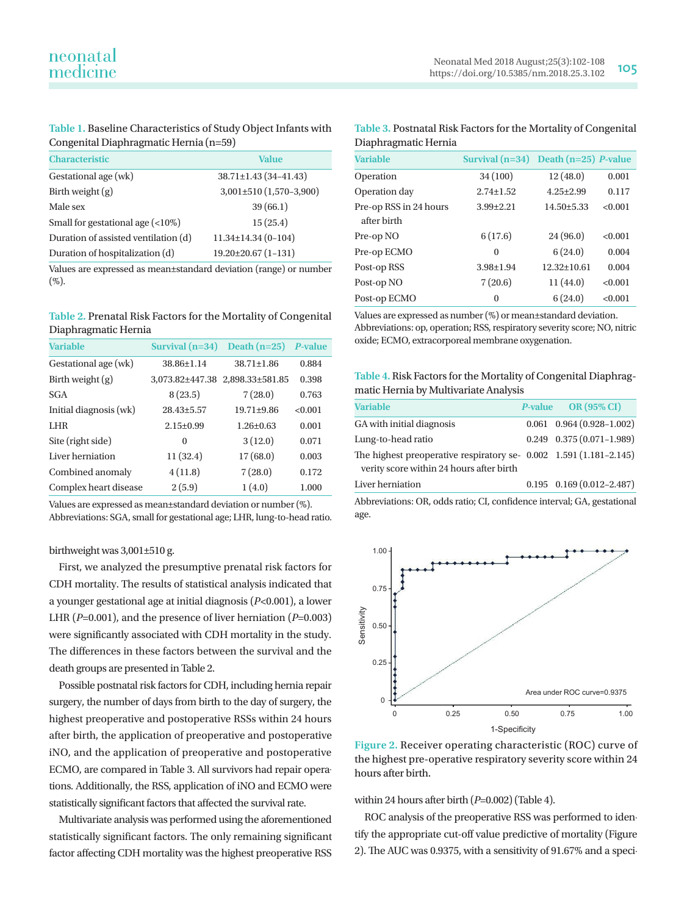**Table 1.** Baseline Characteristics of Study Object Infants with Congenital Diaphragmatic Hernia (n=59)

| <b>Characteristic</b>                  | Value                         |
|----------------------------------------|-------------------------------|
| Gestational age (wk)                   | $38.71 \pm 1.43 (34 - 41.43)$ |
| Birth weight $(g)$                     | $3,001 \pm 510 (1,570-3,900)$ |
| Male sex                               | 39(66.1)                      |
| Small for gestational age $($ <10% $)$ | 15(25.4)                      |
| Duration of assisted ventilation (d)   | $11.34 \pm 14.34(0-104)$      |
| Duration of hospitalization (d)        | $19.20 \pm 20.67(1 - 131)$    |

Values are expressed as mean±standard deviation (range) or number (%).

**Table 2.** Prenatal Risk Factors for the Mortality of Congenital Diaphragmatic Hernia

| <b>Variable</b>        | Survival $(n=34)$ | Death $(n=25)$   | <b>P-value</b> |
|------------------------|-------------------|------------------|----------------|
| Gestational age (wk)   | 38.86±1.14        | $38.71 \pm 1.86$ | 0.884          |
| Birth weight $(g)$     | 3.073.82±447.38   | 2,898.33±581.85  | 0.398          |
| <b>SGA</b>             | 8(23.5)           | 7(28.0)          | 0.763          |
| Initial diagnosis (wk) | $28.43 \pm 5.57$  | $19.71 + 9.86$   | <0.001         |
| LHR.                   | $2.15 + 0.99$     | $1.26 + 0.63$    | 0.001          |
| Site (right side)      | $\Omega$          | 3(12.0)          | 0.071          |
| Liver herniation       | 11(32.4)          | 17(68.0)         | 0.003          |
| Combined anomaly       | 4(11.8)           | 7(28.0)          | 0.172          |
| Complex heart disease  | 2(5.9)            | 1(4.0)           | 1.000          |

Values are expressed as mean±standard deviation or number (%). Abbreviations: SGA, small for gestational age; LHR, lung-to-head ratio.

birthweight was 3,001±510 g.

First, we analyzed the presumptive prenatal risk factors for CDH mortality. The results of statistical analysis indicated that a younger gestational age at initial diagnosis (*P*<0.001), a lower LHR (*P*=0.001), and the presence of liver herniation (*P*=0.003) were significantly associated with CDH mortality in the study. The differences in these factors between the survival and the death groups are presented in Table 2.

Possible postnatal risk factors for CDH, including hernia repair surgery, the number of days from birth to the day of surgery, the highest preoperative and postoperative RSSs within 24 hours after birth, the application of preoperative and postoperative iNO, and the application of preoperative and postoperative ECMO, are compared in Table 3. All survivors had repair operations. Additionally, the RSS, application of iNO and ECMO were statistically significant factors that affected the survival rate.

Multivariate analysis was performed using the aforementioned statistically significant factors. The only remaining significant factor affecting CDH mortality was the highest preoperative RSS

#### **Table 3.** Postnatal Risk Factors for the Mortality of Congenital Diaphragmatic Hernia

| <b>Variable</b>                       | Survival $(n=34)$ | Death $(n=25)$ <i>P</i> -value |         |
|---------------------------------------|-------------------|--------------------------------|---------|
| Operation                             | 34 (100)          | 12(48.0)                       | 0.001   |
| Operation day                         | $2.74 \pm 1.52$   | $4.25 \pm 2.99$                | 0.117   |
| Pre-op RSS in 24 hours<br>after birth | $3.99 \pm 2.21$   | $14.50 \pm 5.33$               | < 0.001 |
| Pre-op NO                             | 6(17.6)           | 24(96.0)                       | < 0.001 |
| Pre-op ECMO                           | $\Omega$          | 6(24.0)                        | 0.004   |
| Post-op RSS                           | $3.98 \pm 1.94$   | $12.32 + 10.61$                | 0.004   |
| Post-op NO                            | 7(20.6)           | 11(44.0)                       | < 0.001 |
| Post-op ECMO                          | $\Omega$          | 6(24.0)                        | < 0.001 |

Values are expressed as number (%) or mean±standard deviation. Abbreviations: op, operation; RSS, respiratory severity score; NO, nitric oxide; ECMO, extracorporeal membrane oxygenation.

#### **Table 4.** Risk Factors for the Mortality of Congenital Diaphragmatic Hernia by Multivariate Analysis

| <b>Variable</b>                                                    | P-value OR (95% CI)               |
|--------------------------------------------------------------------|-----------------------------------|
| GA with initial diagnosis                                          | $0.061$ $0.964$ $(0.928-1.002)$   |
| Lung-to-head ratio                                                 | $0.249$ $0.375(0.071-1.989)$      |
| The highest preoperative respiratory se- 0.002 1.591 (1.181-2.145) |                                   |
| verity score within 24 hours after birth                           |                                   |
| Liver herniation                                                   | $0.195$ $0.169$ $(0.012 - 2.487)$ |

Abbreviations: OR, odds ratio; CI, confidence interval; GA, gestational age.



**Figure 2.** Receiver operating characteristic (ROC) curve of the highest pre-operative respiratory severity score within 24 hours after birth.

within 24 hours after birth (*P*=0.002) (Table 4).

ROC analysis of the preoperative RSS was performed to identify the appropriate cut-off value predictive of mortality (Figure 2). The AUC was 0.9375, with a sensitivity of 91.67% and a speci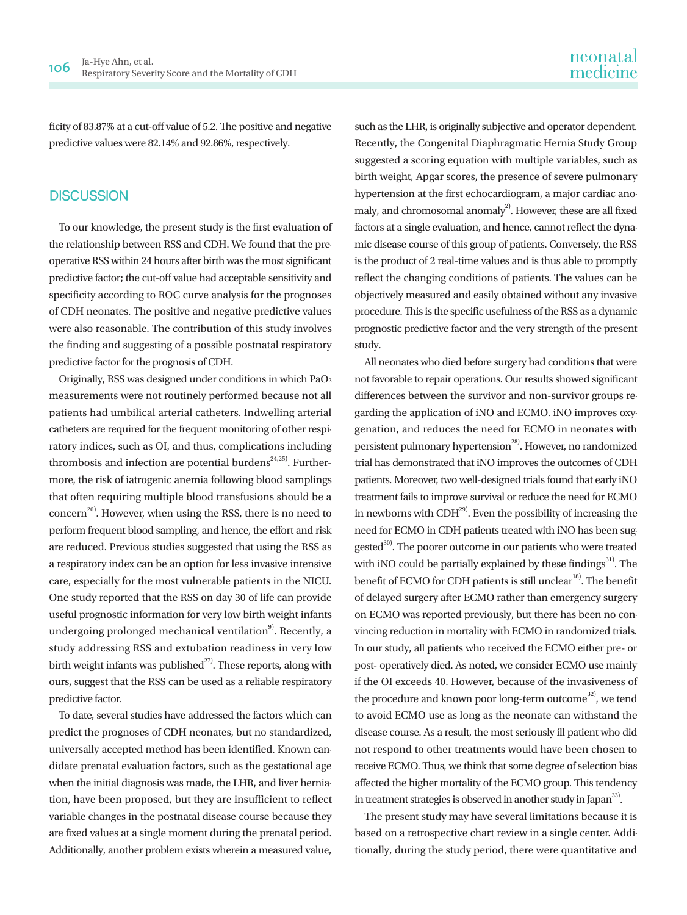ficity of 83.87% at a cut-off value of 5.2. The positive and negative predictive values were 82.14% and 92.86%, respectively.

## **DISCUSSION**

To our knowledge, the present study is the first evaluation of the relationship between RSS and CDH. We found that the preoperative RSS within 24 hours after birth was the most significant predictive factor; the cut-off value had acceptable sensitivity and specificity according to ROC curve analysis for the prognoses of CDH neonates. The positive and negative predictive values were also reasonable. The contribution of this study involves the finding and suggesting of a possible postnatal respiratory predictive factor for the prognosis of CDH.

Originally, RSS was designed under conditions in which PaO2 measurements were not routinely performed because not all patients had umbilical arterial catheters. Indwelling arterial catheters are required for the frequent monitoring of other respiratory indices, such as OI, and thus, complications including thrombosis and infection are potential burdens<sup>24,25)</sup>. Furthermore, the risk of iatrogenic anemia following blood samplings that often requiring multiple blood transfusions should be a  $\rm{concern}^{26}$ . However, when using the RSS, there is no need to perform frequent blood sampling, and hence, the effort and risk are reduced. Previous studies suggested that using the RSS as a respiratory index can be an option for less invasive intensive care, especially for the most vulnerable patients in the NICU. One study reported that the RSS on day 30 of life can provide useful prognostic information for very low birth weight infants undergoing prolonged mechanical ventilation<sup>9)</sup>. Recently, a study addressing RSS and extubation readiness in very low birth weight infants was published<sup> $^{27}$ </sup>. These reports, along with ours, suggest that the RSS can be used as a reliable respiratory predictive factor.

To date, several studies have addressed the factors which can predict the prognoses of CDH neonates, but no standardized, universally accepted method has been identified. Known candidate prenatal evaluation factors, such as the gestational age when the initial diagnosis was made, the LHR, and liver herniation, have been proposed, but they are insufficient to reflect variable changes in the postnatal disease course because they are fixed values at a single moment during the prenatal period. Additionally, another problem exists wherein a measured value,

such as the LHR, is originally subjective and operator dependent. Recently, the Congenital Diaphragmatic Hernia Study Group suggested a scoring equation with multiple variables, such as birth weight, Apgar scores, the presence of severe pulmonary hypertension at the first echocardiogram, a major cardiac anomaly, and chromosomal anomaly<sup>2)</sup>. However, these are all fixed factors at a single evaluation, and hence, cannot reflect the dynamic disease course of this group of patients. Conversely, the RSS is the product of 2 real-time values and is thus able to promptly reflect the changing conditions of patients. The values can be objectively measured and easily obtained without any invasive procedure. This is the specific usefulness of the RSS as a dynamic prognostic predictive factor and the very strength of the present study.

All neonates who died before surgery had conditions that were not favorable to repair operations. Our results showed significant differences between the survivor and non-survivor groups regarding the application of iNO and ECMO. iNO improves oxygenation, and reduces the need for ECMO in neonates with persistent pulmonary hypertension $^{28)}$ . However, no randomized trial has demonstrated that iNO improves the outcomes of CDH patients. Moreover, two well-designed trials found that early iNO treatment fails to improve survival or reduce the need for ECMO in newborns with  $CDH<sup>29</sup>$ . Even the possibility of increasing the need for ECMO in CDH patients treated with iNO has been suggested<sup>30)</sup>. The poorer outcome in our patients who were treated with iNO could be partially explained by these findings $^{31}$ . The benefit of ECMO for CDH patients is still unclear<sup>18)</sup>. The benefit of delayed surgery after ECMO rather than emergency surgery on ECMO was reported previously, but there has been no convincing reduction in mortality with ECMO in randomized trials. In our study, all patients who received the ECMO either pre- or post- operatively died. As noted, we consider ECMO use mainly if the OI exceeds 40. However, because of the invasiveness of the procedure and known poor long-term outcome<sup>32</sup>, we tend to avoid ECMO use as long as the neonate can withstand the disease course. As a result, the most seriously ill patient who did not respond to other treatments would have been chosen to receive ECMO. Thus, we think that some degree of selection bias affected the higher mortality of the ECMO group. This tendency in treatment strategies is observed in another study in Japan<sup>33</sup>.

The present study may have several limitations because it is based on a retrospective chart review in a single center. Additionally, during the study period, there were quantitative and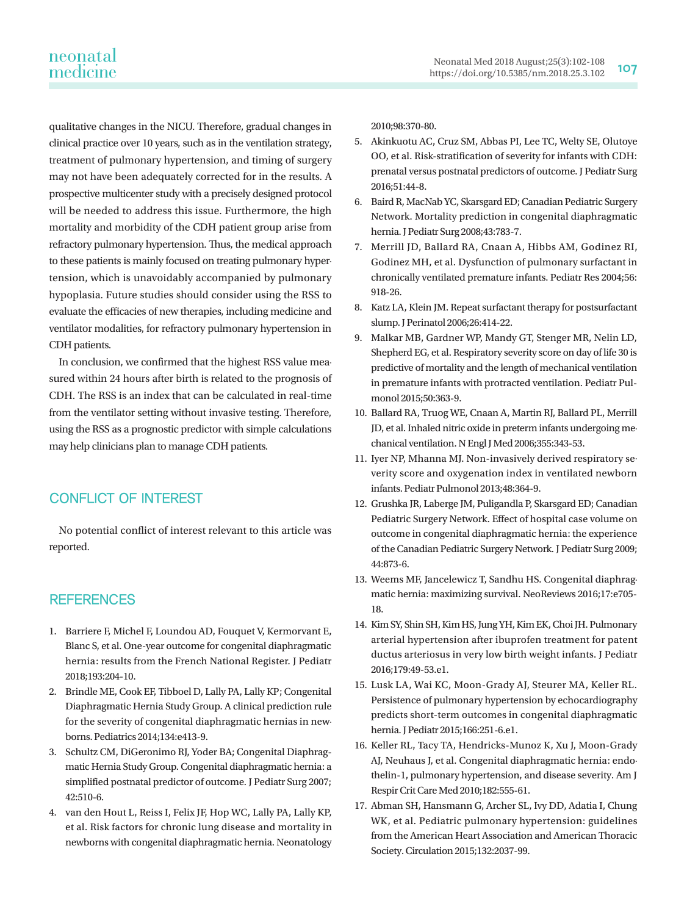qualitative changes in the NICU. Therefore, gradual changes in clinical practice over 10 years, such as in the ventilation strategy, treatment of pulmonary hypertension, and timing of surgery may not have been adequately corrected for in the results. A prospective multicenter study with a precisely designed protocol will be needed to address this issue. Furthermore, the high mortality and morbidity of the CDH patient group arise from refractory pulmonary hypertension. Thus, the medical approach to these patients is mainly focused on treating pulmonary hypertension, which is unavoidably accompanied by pulmonary hypoplasia. Future studies should consider using the RSS to evaluate the efficacies of new therapies, including medicine and ventilator modalities, for refractory pulmonary hypertension in CDH patients.

In conclusion, we confirmed that the highest RSS value measured within 24 hours after birth is related to the prognosis of CDH. The RSS is an index that can be calculated in real-time from the ventilator setting without invasive testing. Therefore, using the RSS as a prognostic predictor with simple calculations may help clinicians plan to manage CDH patients.

## CONFLICT OF INTEREST

No potential conflict of interest relevant to this article was reported.

## **REFERENCES**

- 1. Barriere F, Michel F, Loundou AD, Fouquet V, Kermorvant E, Blanc S, et al. One-year outcome for congenital diaphragmatic hernia: results from the French National Register. J Pediatr 2018;193:204-10.
- 2. Brindle ME, Cook EF, Tibboel D, Lally PA, Lally KP; Congenital Diaphragmatic Hernia Study Group. A clinical prediction rule for the severity of congenital diaphragmatic hernias in newborns. Pediatrics 2014;134:e413-9.
- 3. Schultz CM, DiGeronimo RJ, Yoder BA; Congenital Diaphragmatic Hernia Study Group. Congenital diaphragmatic hernia: a simplified postnatal predictor of outcome. J Pediatr Surg 2007; 42:510-6.
- 4. van den Hout L, Reiss I, Felix JF, Hop WC, Lally PA, Lally KP, et al. Risk factors for chronic lung disease and mortality in newborns with congenital diaphragmatic hernia. Neonatology

2010;98:370-80.

- 5. Akinkuotu AC, Cruz SM, Abbas PI, Lee TC, Welty SE, Olutoye OO, et al. Risk-stratification of severity for infants with CDH: prenatal versus postnatal predictors of outcome. J Pediatr Surg 2016;51:44-8.
- 6. Baird R, MacNab YC, Skarsgard ED; Canadian Pediatric Surgery Network. Mortality prediction in congenital diaphragmatic hernia. J Pediatr Surg 2008;43:783-7.
- 7. Merrill JD, Ballard RA, Cnaan A, Hibbs AM, Godinez RI, Godinez MH, et al. Dysfunction of pulmonary surfactant in chronically ventilated premature infants. Pediatr Res 2004;56: 918-26.
- 8. Katz LA, Klein JM. Repeat surfactant therapy for postsurfactant slump. J Perinatol 2006;26:414-22.
- 9. Malkar MB, Gardner WP, Mandy GT, Stenger MR, Nelin LD, Shepherd EG, et al. Respiratory severity score on day of life 30 is predictive of mortality and the length of mechanical ventilation in premature infants with protracted ventilation. Pediatr Pulmonol 2015;50:363-9.
- 10. Ballard RA, Truog WE, Cnaan A, Martin RJ, Ballard PL, Merrill JD, et al. Inhaled nitric oxide in preterm infants undergoing mechanical ventilation. N Engl J Med 2006;355:343-53.
- 11. Iyer NP, Mhanna MJ. Non-invasively derived respiratory severity score and oxygenation index in ventilated newborn infants. Pediatr Pulmonol 2013;48:364-9.
- 12. Grushka JR, Laberge JM, Puligandla P, Skarsgard ED; Canadian Pediatric Surgery Network. Effect of hospital case volume on outcome in congenital diaphragmatic hernia: the experience of the Canadian Pediatric Surgery Network. J Pediatr Surg 2009; 44:873-6.
- 13. Weems MF, Jancelewicz T, Sandhu HS. Congenital diaphragmatic hernia: maximizing survival. NeoReviews 2016;17:e705- 18.
- 14. Kim SY, Shin SH, Kim HS, Jung YH, Kim EK, Choi JH. Pulmonary arterial hypertension after ibuprofen treatment for patent ductus arteriosus in very low birth weight infants. J Pediatr 2016;179:49-53.e1.
- 15. Lusk LA, Wai KC, Moon-Grady AJ, Steurer MA, Keller RL. Persistence of pulmonary hypertension by echocardiography predicts short-term outcomes in congenital diaphragmatic hernia. J Pediatr 2015;166:251-6.e1.
- 16. Keller RL, Tacy TA, Hendricks-Munoz K, Xu J, Moon-Grady AJ, Neuhaus J, et al. Congenital diaphragmatic hernia: endothelin-1, pulmonary hypertension, and disease severity. Am J Respir Crit Care Med 2010;182:555-61.
- 17. Abman SH, Hansmann G, Archer SL, Ivy DD, Adatia I, Chung WK, et al. Pediatric pulmonary hypertension: guidelines from the American Heart Association and American Thoracic Society. Circulation 2015;132:2037-99.